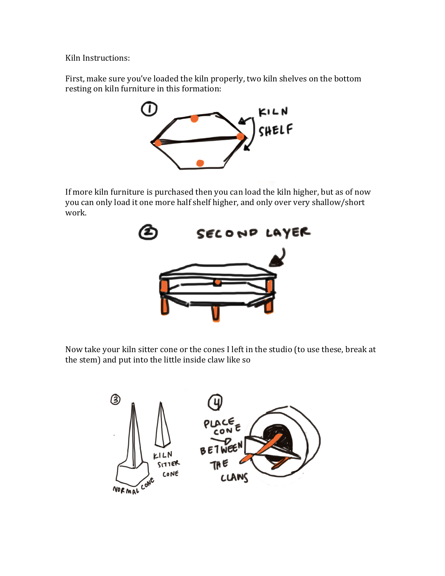Kiln Instructions:

First, make sure you've loaded the kiln properly, two kiln shelves on the bottom resting on kiln furniture in this formation:



If more kiln furniture is purchased then you can load the kiln higher, but as of now you can only load it one more half shelf higher, and only over very shallow/short work. 



Now take your kiln sitter cone or the cones I left in the studio (to use these, break at the stem) and put into the little inside claw like so

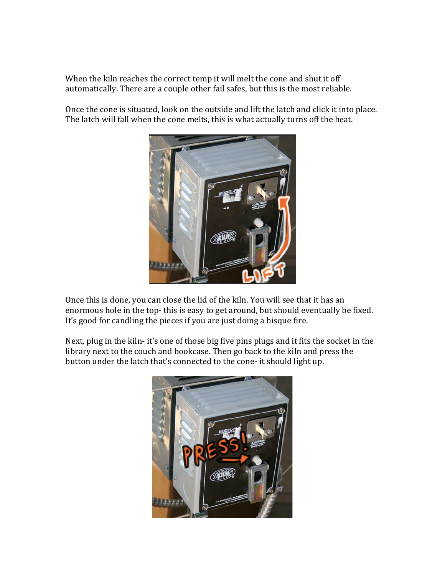When the kiln reaches the correct temp it will melt the cone and shut it off automatically. There are a couple other fail safes, but this is the most reliable.

Once the cone is situated, look on the outside and lift the latch and click it into place. The latch will fall when the cone melts, this is what actually turns off the heat.



Once this is done, you can close the lid of the kiln. You will see that it has an enormous hole in the top-this is easy to get around, but should eventually be fixed. It's good for candling the pieces if you are just doing a bisque fire.

Next, plug in the kiln- it's one of those big five pins plugs and it fits the socket in the library next to the couch and bookcase. Then go back to the kiln and press the button under the latch that's connected to the cone- it should light up.

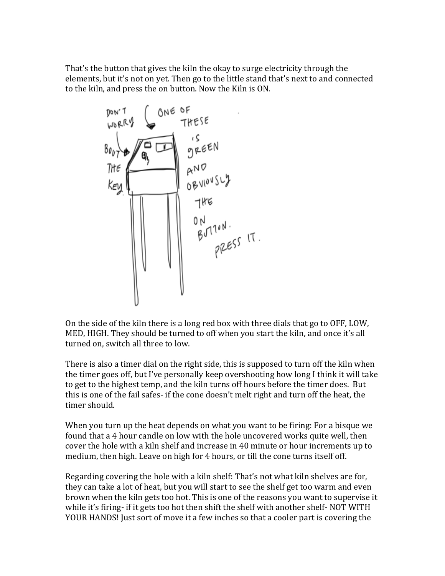That's the button that gives the kiln the okay to surge electricity through the elements, but it's not on yet. Then go to the little stand that's next to and connected to the kiln, and press the on button. Now the Kiln is ON.



On the side of the kiln there is a long red box with three dials that go to OFF, LOW, MED, HIGH. They should be turned to off when you start the kiln, and once it's all turned on, switch all three to low.

There is also a timer dial on the right side, this is supposed to turn off the kiln when the timer goes off, but I've personally keep overshooting how long I think it will take to get to the highest temp, and the kiln turns off hours before the timer does. But this is one of the fail safes- if the cone doesn't melt right and turn off the heat, the timer should.

When you turn up the heat depends on what you want to be firing: For a bisque we found that a 4 hour candle on low with the hole uncovered works quite well, then cover the hole with a kiln shelf and increase in 40 minute or hour increments up to medium, then high. Leave on high for 4 hours, or till the cone turns itself off.

Regarding covering the hole with a kiln shelf: That's not what kiln shelves are for, they can take a lot of heat, but you will start to see the shelf get too warm and even brown when the kiln gets too hot. This is one of the reasons you want to supervise it while it's firing- if it gets too hot then shift the shelf with another shelf- NOT WITH YOUR HANDS! Just sort of move it a few inches so that a cooler part is covering the